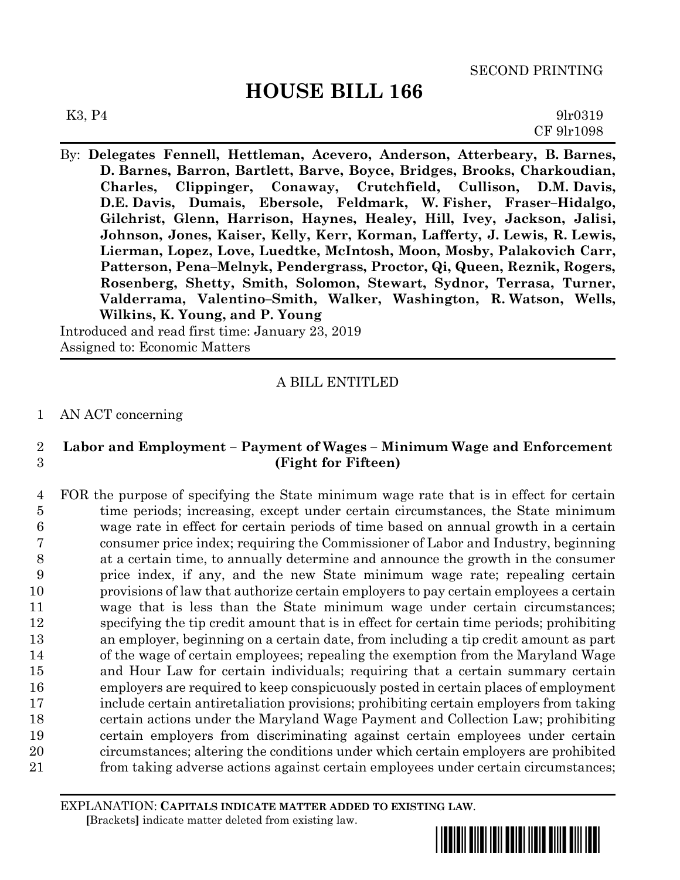$K3, P4$  9lr0319 CF 9lr1098

By: **Delegates Fennell, Hettleman, Acevero, Anderson, Atterbeary, B. Barnes, D. Barnes, Barron, Bartlett, Barve, Boyce, Bridges, Brooks, Charkoudian, Charles, Clippinger, Conaway, Crutchfield, Cullison, D.M. Davis, D.E. Davis, Dumais, Ebersole, Feldmark, W. Fisher, Fraser–Hidalgo, Gilchrist, Glenn, Harrison, Haynes, Healey, Hill, Ivey, Jackson, Jalisi, Johnson, Jones, Kaiser, Kelly, Kerr, Korman, Lafferty, J. Lewis, R. Lewis, Lierman, Lopez, Love, Luedtke, McIntosh, Moon, Mosby, Palakovich Carr, Patterson, Pena–Melnyk, Pendergrass, Proctor, Qi, Queen, Reznik, Rogers, Rosenberg, Shetty, Smith, Solomon, Stewart, Sydnor, Terrasa, Turner, Valderrama, Valentino–Smith, Walker, Washington, R. Watson, Wells, Wilkins, K. Young, and P. Young**

Introduced and read first time: January 23, 2019 Assigned to: Economic Matters

## A BILL ENTITLED

### 1 AN ACT concerning

## 2 **Labor and Employment – Payment of Wages – Minimum Wage and Enforcement** 3 **(Fight for Fifteen)**

 FOR the purpose of specifying the State minimum wage rate that is in effect for certain time periods; increasing, except under certain circumstances, the State minimum wage rate in effect for certain periods of time based on annual growth in a certain consumer price index; requiring the Commissioner of Labor and Industry, beginning at a certain time, to annually determine and announce the growth in the consumer price index, if any, and the new State minimum wage rate; repealing certain provisions of law that authorize certain employers to pay certain employees a certain wage that is less than the State minimum wage under certain circumstances; specifying the tip credit amount that is in effect for certain time periods; prohibiting an employer, beginning on a certain date, from including a tip credit amount as part of the wage of certain employees; repealing the exemption from the Maryland Wage and Hour Law for certain individuals; requiring that a certain summary certain employers are required to keep conspicuously posted in certain places of employment include certain antiretaliation provisions; prohibiting certain employers from taking certain actions under the Maryland Wage Payment and Collection Law; prohibiting certain employers from discriminating against certain employees under certain circumstances; altering the conditions under which certain employers are prohibited from taking adverse actions against certain employees under certain circumstances;

EXPLANATION: **CAPITALS INDICATE MATTER ADDED TO EXISTING LAW**.  **[**Brackets**]** indicate matter deleted from existing law.

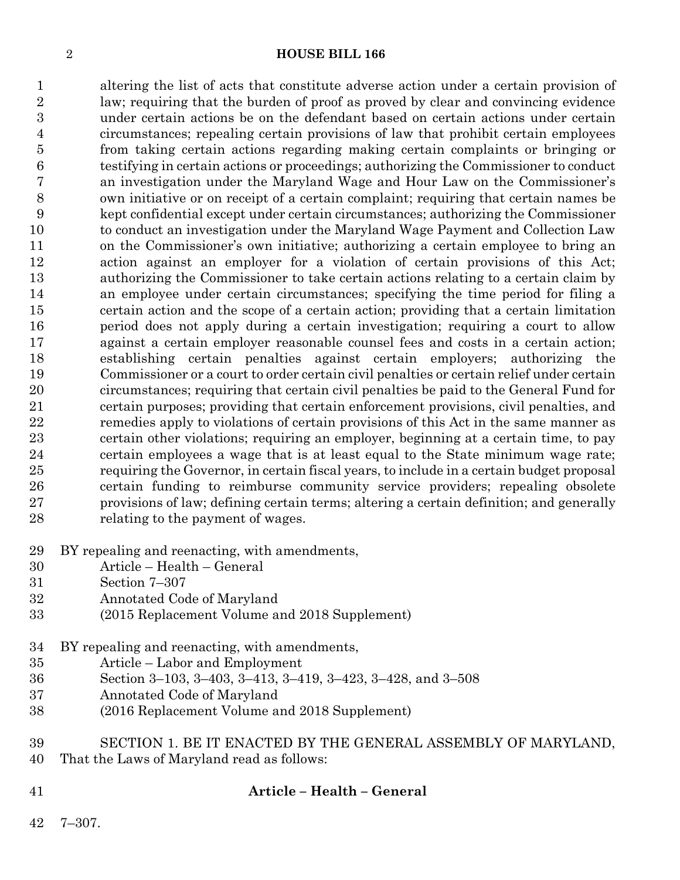altering the list of acts that constitute adverse action under a certain provision of law; requiring that the burden of proof as proved by clear and convincing evidence under certain actions be on the defendant based on certain actions under certain circumstances; repealing certain provisions of law that prohibit certain employees from taking certain actions regarding making certain complaints or bringing or testifying in certain actions or proceedings; authorizing the Commissioner to conduct an investigation under the Maryland Wage and Hour Law on the Commissioner's own initiative or on receipt of a certain complaint; requiring that certain names be kept confidential except under certain circumstances; authorizing the Commissioner to conduct an investigation under the Maryland Wage Payment and Collection Law on the Commissioner's own initiative; authorizing a certain employee to bring an action against an employer for a violation of certain provisions of this Act; authorizing the Commissioner to take certain actions relating to a certain claim by an employee under certain circumstances; specifying the time period for filing a certain action and the scope of a certain action; providing that a certain limitation period does not apply during a certain investigation; requiring a court to allow against a certain employer reasonable counsel fees and costs in a certain action; establishing certain penalties against certain employers; authorizing the Commissioner or a court to order certain civil penalties or certain relief under certain circumstances; requiring that certain civil penalties be paid to the General Fund for certain purposes; providing that certain enforcement provisions, civil penalties, and remedies apply to violations of certain provisions of this Act in the same manner as certain other violations; requiring an employer, beginning at a certain time, to pay certain employees a wage that is at least equal to the State minimum wage rate; requiring the Governor, in certain fiscal years, to include in a certain budget proposal certain funding to reimburse community service providers; repealing obsolete provisions of law; defining certain terms; altering a certain definition; and generally relating to the payment of wages.

- BY repealing and reenacting, with amendments,
- Article Health General
- Section 7–307
- Annotated Code of Maryland
- (2015 Replacement Volume and 2018 Supplement)
- BY repealing and reenacting, with amendments,
- Article Labor and Employment
- Section 3–103, 3–403, 3–413, 3–419, 3–423, 3–428, and 3–508
- Annotated Code of Maryland
- (2016 Replacement Volume and 2018 Supplement)
- SECTION 1. BE IT ENACTED BY THE GENERAL ASSEMBLY OF MARYLAND,
- That the Laws of Maryland read as follows:
- **Article – Health – General**
- 7–307.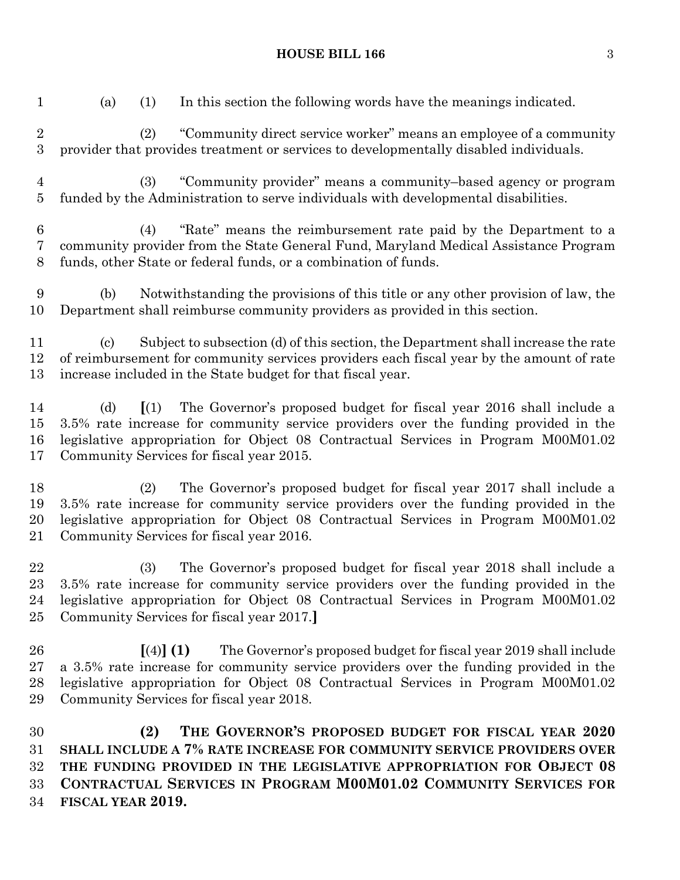funded by the Administration to serve individuals with developmental disabilities. (4) "Rate" means the reimbursement rate paid by the Department to a community provider from the State General Fund, Maryland Medical Assistance Program funds, other State or federal funds, or a combination of funds. (b) Notwithstanding the provisions of this title or any other provision of law, the Department shall reimburse community providers as provided in this section. (c) Subject to subsection (d) of this section, the Department shall increase the rate of reimbursement for community services providers each fiscal year by the amount of rate increase included in the State budget for that fiscal year. (d) **[**(1) The Governor's proposed budget for fiscal year 2016 shall include a 3.5% rate increase for community service providers over the funding provided in the legislative appropriation for Object 08 Contractual Services in Program M00M01.02 Community Services for fiscal year 2015. (2) The Governor's proposed budget for fiscal year 2017 shall include a 3.5% rate increase for community service providers over the funding provided in the legislative appropriation for Object 08 Contractual Services in Program M00M01.02 Community Services for fiscal year 2016. (3) The Governor's proposed budget for fiscal year 2018 shall include a 3.5% rate increase for community service providers over the funding provided in the legislative appropriation for Object 08 Contractual Services in Program M00M01.02 Community Services for fiscal year 2017.**] [**(4)**] (1)** The Governor's proposed budget for fiscal year 2019 shall include a 3.5% rate increase for community service providers over the funding provided in the legislative appropriation for Object 08 Contractual Services in Program M00M01.02 Community Services for fiscal year 2018. **(2) THE GOVERNOR'S PROPOSED BUDGET FOR FISCAL YEAR 2020 SHALL INCLUDE A 7% RATE INCREASE FOR COMMUNITY SERVICE PROVIDERS OVER THE FUNDING PROVIDED IN THE LEGISLATIVE APPROPRIATION FOR OBJECT 08 CONTRACTUAL SERVICES IN PROGRAM M00M01.02 COMMUNITY SERVICES FOR** 

**FISCAL YEAR 2019.**

**HOUSE BILL 166** 3

(a) (1) In this section the following words have the meanings indicated.

provider that provides treatment or services to developmentally disabled individuals.

(2) "Community direct service worker" means an employee of a community

(3) "Community provider" means a community–based agency or program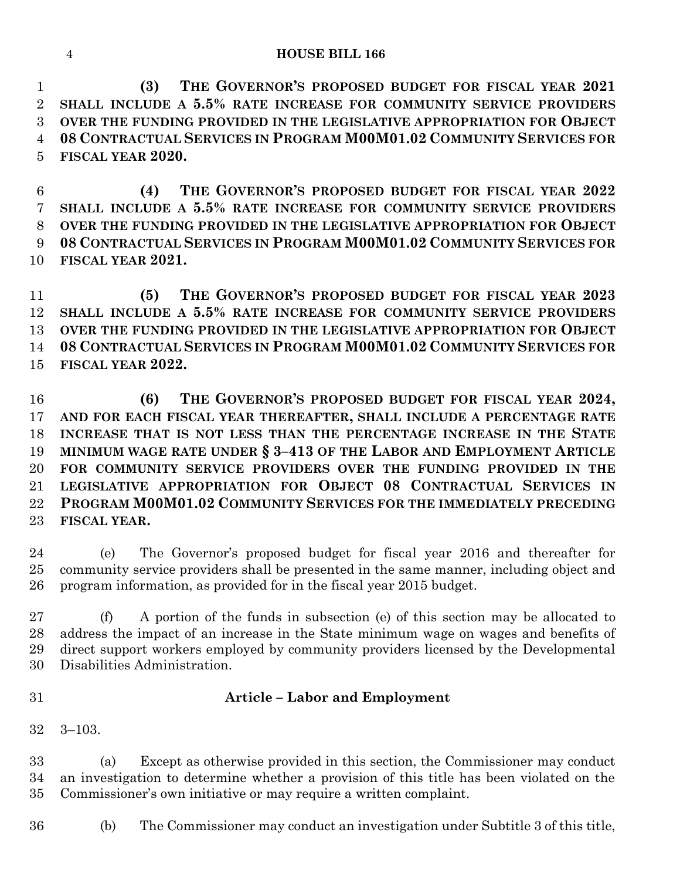**(3) THE GOVERNOR'S PROPOSED BUDGET FOR FISCAL YEAR 2021 SHALL INCLUDE A 5.5% RATE INCREASE FOR COMMUNITY SERVICE PROVIDERS OVER THE FUNDING PROVIDED IN THE LEGISLATIVE APPROPRIATION FOR OBJECT 08 CONTRACTUAL SERVICES IN PROGRAM M00M01.02 COMMUNITY SERVICES FOR FISCAL YEAR 2020.**

 **(4) THE GOVERNOR'S PROPOSED BUDGET FOR FISCAL YEAR 2022 SHALL INCLUDE A 5.5% RATE INCREASE FOR COMMUNITY SERVICE PROVIDERS OVER THE FUNDING PROVIDED IN THE LEGISLATIVE APPROPRIATION FOR OBJECT 08 CONTRACTUAL SERVICES IN PROGRAM M00M01.02 COMMUNITY SERVICES FOR FISCAL YEAR 2021.**

 **(5) THE GOVERNOR'S PROPOSED BUDGET FOR FISCAL YEAR 2023 SHALL INCLUDE A 5.5% RATE INCREASE FOR COMMUNITY SERVICE PROVIDERS OVER THE FUNDING PROVIDED IN THE LEGISLATIVE APPROPRIATION FOR OBJECT 08 CONTRACTUAL SERVICES IN PROGRAM M00M01.02 COMMUNITY SERVICES FOR FISCAL YEAR 2022.**

 **(6) THE GOVERNOR'S PROPOSED BUDGET FOR FISCAL YEAR 2024, AND FOR EACH FISCAL YEAR THEREAFTER, SHALL INCLUDE A PERCENTAGE RATE INCREASE THAT IS NOT LESS THAN THE PERCENTAGE INCREASE IN THE STATE MINIMUM WAGE RATE UNDER § 3–413 OF THE LABOR AND EMPLOYMENT ARTICLE FOR COMMUNITY SERVICE PROVIDERS OVER THE FUNDING PROVIDED IN THE LEGISLATIVE APPROPRIATION FOR OBJECT 08 CONTRACTUAL SERVICES IN PROGRAM M00M01.02 COMMUNITY SERVICES FOR THE IMMEDIATELY PRECEDING FISCAL YEAR.**

 (e) The Governor's proposed budget for fiscal year 2016 and thereafter for community service providers shall be presented in the same manner, including object and program information, as provided for in the fiscal year 2015 budget.

 (f) A portion of the funds in subsection (e) of this section may be allocated to address the impact of an increase in the State minimum wage on wages and benefits of direct support workers employed by community providers licensed by the Developmental Disabilities Administration.

## **Article – Labor and Employment**

3–103.

 (a) Except as otherwise provided in this section, the Commissioner may conduct an investigation to determine whether a provision of this title has been violated on the Commissioner's own initiative or may require a written complaint.

(b) The Commissioner may conduct an investigation under Subtitle 3 of this title,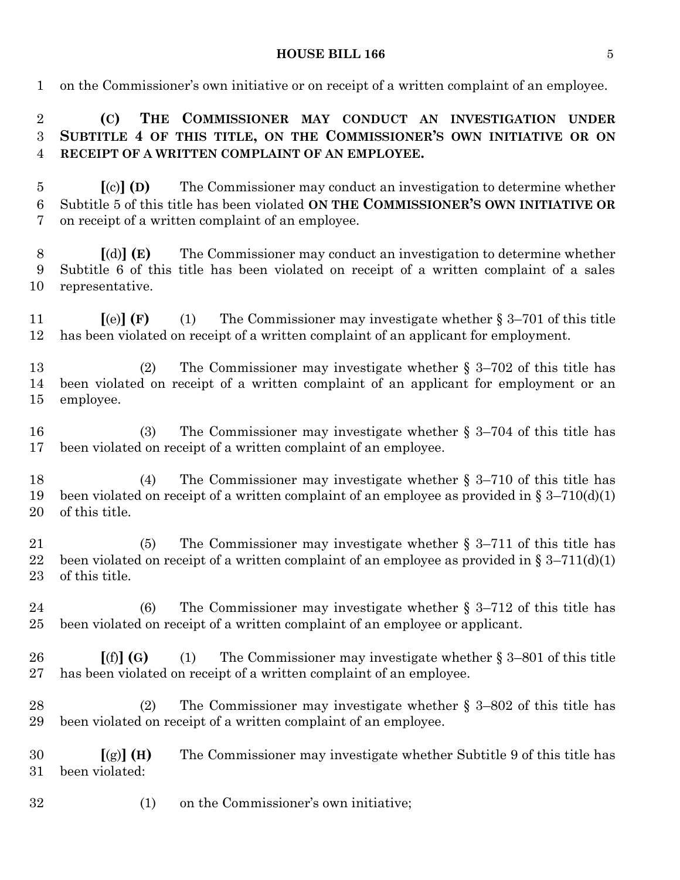on the Commissioner's own initiative or on receipt of a written complaint of an employee.

 **(C) THE COMMISSIONER MAY CONDUCT AN INVESTIGATION UNDER SUBTITLE 4 OF THIS TITLE, ON THE COMMISSIONER'S OWN INITIATIVE OR ON RECEIPT OF A WRITTEN COMPLAINT OF AN EMPLOYEE.**

 **[**(c)**] (D)** The Commissioner may conduct an investigation to determine whether Subtitle 5 of this title has been violated **ON THE COMMISSIONER'S OWN INITIATIVE OR** on receipt of a written complaint of an employee.

 **[**(d)**] (E)** The Commissioner may conduct an investigation to determine whether Subtitle 6 of this title has been violated on receipt of a written complaint of a sales representative.

 **[**(e)**] (F)** (1) The Commissioner may investigate whether § 3–701 of this title has been violated on receipt of a written complaint of an applicant for employment.

 (2) The Commissioner may investigate whether § 3–702 of this title has been violated on receipt of a written complaint of an applicant for employment or an employee.

 (3) The Commissioner may investigate whether § 3–704 of this title has been violated on receipt of a written complaint of an employee.

 (4) The Commissioner may investigate whether § 3–710 of this title has 19 been violated on receipt of a written complaint of an employee as provided in  $\S 3-710(d)(1)$ of this title.

 (5) The Commissioner may investigate whether § 3–711 of this title has 22 been violated on receipt of a written complaint of an employee as provided in  $\S 3-711(d)(1)$ of this title.

 (6) The Commissioner may investigate whether § 3–712 of this title has been violated on receipt of a written complaint of an employee or applicant.

 **[**(f)**] (G)** (1) The Commissioner may investigate whether § 3–801 of this title has been violated on receipt of a written complaint of an employee.

 (2) The Commissioner may investigate whether § 3–802 of this title has been violated on receipt of a written complaint of an employee.

 **[**(g)**] (H)** The Commissioner may investigate whether Subtitle 9 of this title has been violated:

(1) on the Commissioner's own initiative;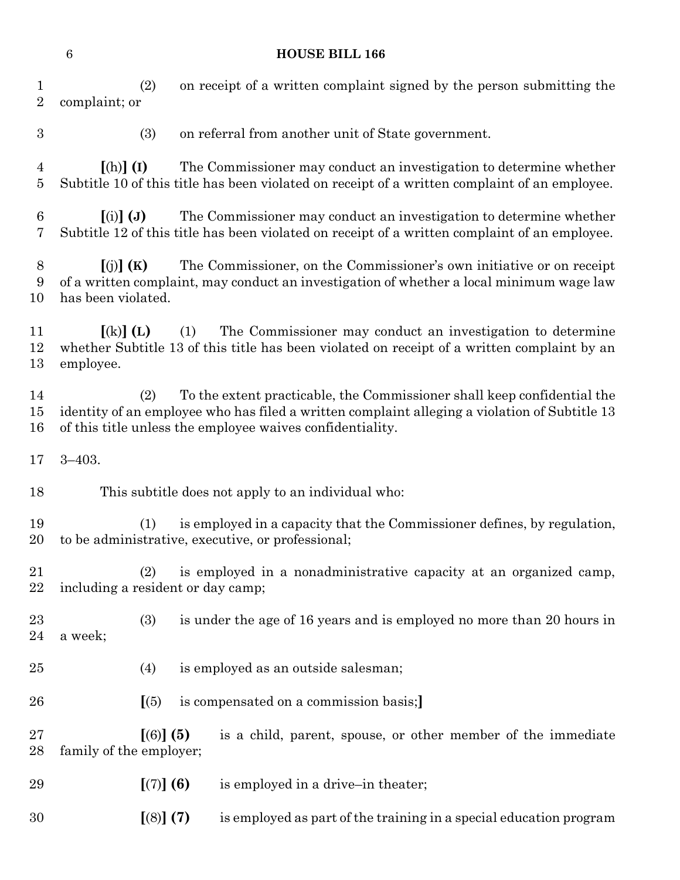| 1<br>$\overline{2}$ | complaint; or                                                                                                                                                                                                                                | (2)<br>on receipt of a written complaint signed by the person submitting the |     |                                                                                                                                                           |  |  |  |  |
|---------------------|----------------------------------------------------------------------------------------------------------------------------------------------------------------------------------------------------------------------------------------------|------------------------------------------------------------------------------|-----|-----------------------------------------------------------------------------------------------------------------------------------------------------------|--|--|--|--|
| $\boldsymbol{3}$    |                                                                                                                                                                                                                                              | (3)<br>on referral from another unit of State government.                    |     |                                                                                                                                                           |  |  |  |  |
| $\overline{4}$<br>5 | The Commissioner may conduct an investigation to determine whether<br>$[(h)]$ (I)<br>Subtitle 10 of this title has been violated on receipt of a written complaint of an employee.                                                           |                                                                              |     |                                                                                                                                                           |  |  |  |  |
| 6<br>7              | The Commissioner may conduct an investigation to determine whether<br>$(i)$ $(j)$<br>Subtitle 12 of this title has been violated on receipt of a written complaint of an employee.                                                           |                                                                              |     |                                                                                                                                                           |  |  |  |  |
| 8<br>9<br>10        | The Commissioner, on the Commissioner's own initiative or on receipt<br>[(j)](K)<br>of a written complaint, may conduct an investigation of whether a local minimum wage law<br>has been violated.                                           |                                                                              |     |                                                                                                                                                           |  |  |  |  |
| 11<br>12<br>13      | $\left[ \mathrm{(k)}\right]$ (L)<br>employee.                                                                                                                                                                                                |                                                                              | (1) | The Commissioner may conduct an investigation to determine<br>whether Subtitle 13 of this title has been violated on receipt of a written complaint by an |  |  |  |  |
| 14<br>15<br>16      | To the extent practicable, the Commissioner shall keep confidential the<br>(2)<br>identity of an employee who has filed a written complaint alleging a violation of Subtitle 13<br>of this title unless the employee waives confidentiality. |                                                                              |     |                                                                                                                                                           |  |  |  |  |
| 17                  | $3 - 403.$                                                                                                                                                                                                                                   |                                                                              |     |                                                                                                                                                           |  |  |  |  |
| 18                  |                                                                                                                                                                                                                                              |                                                                              |     | This subtitle does not apply to an individual who:                                                                                                        |  |  |  |  |
| 19<br>20            | is employed in a capacity that the Commissioner defines, by regulation,<br>(1)<br>to be administrative, executive, or professional;                                                                                                          |                                                                              |     |                                                                                                                                                           |  |  |  |  |
| 21<br>22            | including a resident or day camp;                                                                                                                                                                                                            |                                                                              |     | (2) is employed in a nonadministrative capacity at an organized camp,                                                                                     |  |  |  |  |
| 23<br>24            | is under the age of 16 years and is employed no more than 20 hours in<br>(3)<br>a week;                                                                                                                                                      |                                                                              |     |                                                                                                                                                           |  |  |  |  |
| 25                  |                                                                                                                                                                                                                                              | (4)                                                                          |     | is employed as an outside salesman;                                                                                                                       |  |  |  |  |
| 26                  |                                                                                                                                                                                                                                              | (5)                                                                          |     | is compensated on a commission basis;                                                                                                                     |  |  |  |  |
| 27<br>28            | family of the employer;                                                                                                                                                                                                                      | $[(6)]$ (5)                                                                  |     | is a child, parent, spouse, or other member of the immediate                                                                                              |  |  |  |  |
| 29                  |                                                                                                                                                                                                                                              | [(7)] (6)                                                                    |     | is employed in a drive-in theater;                                                                                                                        |  |  |  |  |
| 30                  |                                                                                                                                                                                                                                              | [(8)] (7)                                                                    |     | is employed as part of the training in a special education program                                                                                        |  |  |  |  |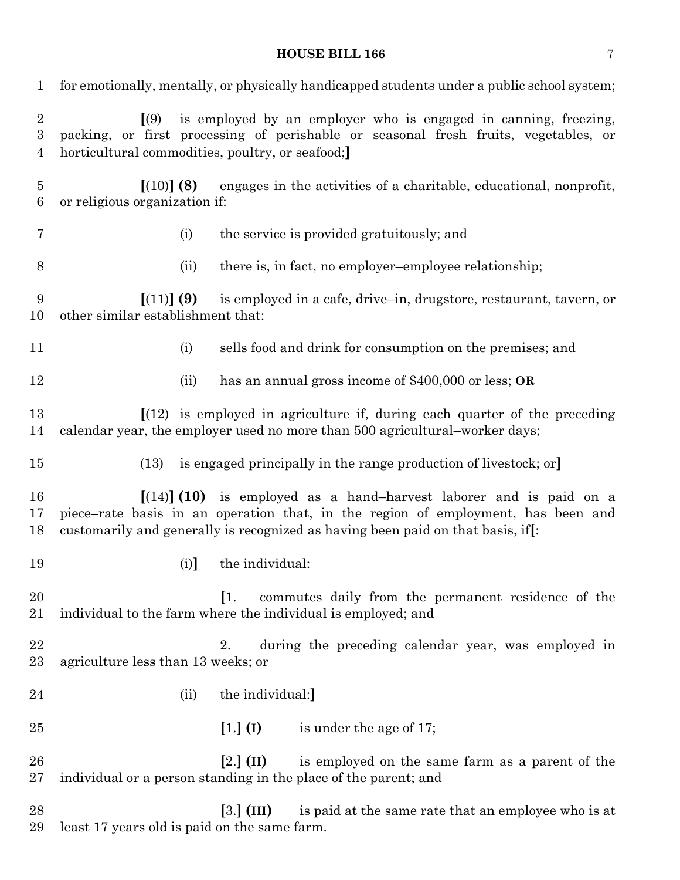| $\mathbf 1$                             | for emotionally, mentally, or physically handicapped students under a public school system;                                                                                                                                                              |  |  |  |  |  |  |
|-----------------------------------------|----------------------------------------------------------------------------------------------------------------------------------------------------------------------------------------------------------------------------------------------------------|--|--|--|--|--|--|
| $\overline{2}$<br>$\boldsymbol{3}$<br>4 | $\sqrt{(9)}$<br>is employed by an employer who is engaged in canning, freezing,<br>packing, or first processing of perishable or seasonal fresh fruits, vegetables, or<br>horticultural commodities, poultry, or seafood;                                |  |  |  |  |  |  |
| $\overline{5}$<br>6                     | [(10)] (8)<br>engages in the activities of a charitable, educational, nonprofit,<br>or religious organization if:                                                                                                                                        |  |  |  |  |  |  |
| 7                                       | the service is provided gratuitously; and<br>(i)                                                                                                                                                                                                         |  |  |  |  |  |  |
| 8                                       | there is, in fact, no employer-employee relationship;<br>(ii)                                                                                                                                                                                            |  |  |  |  |  |  |
| 9<br>10                                 | [(11)] (9)<br>is employed in a cafe, drive-in, drugstore, restaurant, tavern, or<br>other similar establishment that:                                                                                                                                    |  |  |  |  |  |  |
| 11                                      | (i)<br>sells food and drink for consumption on the premises; and                                                                                                                                                                                         |  |  |  |  |  |  |
| 12                                      | has an annual gross income of $$400,000$ or less; OR<br>(ii)                                                                                                                                                                                             |  |  |  |  |  |  |
| 13<br>14                                | $\left[ (12) \right]$ is employed in agriculture if, during each quarter of the preceding<br>calendar year, the employer used no more than 500 agricultural-worker days;                                                                                 |  |  |  |  |  |  |
| 15                                      | is engaged principally in the range production of livestock; or<br>(13)                                                                                                                                                                                  |  |  |  |  |  |  |
| 16<br>17<br>18                          | $\left[ (14) \right] (10)$ is employed as a hand-harvest laborer and is paid on a<br>piece–rate basis in an operation that, in the region of employment, has been and<br>customarily and generally is recognized as having been paid on that basis, if[: |  |  |  |  |  |  |
| 19                                      | the individual:<br>(i)                                                                                                                                                                                                                                   |  |  |  |  |  |  |
| 20<br>21                                | $\left[1\right]$<br>commutes daily from the permanent residence of the<br>individual to the farm where the individual is employed; and                                                                                                                   |  |  |  |  |  |  |
| 22<br>$23\,$                            | during the preceding calendar year, was employed in<br>2.<br>agriculture less than 13 weeks; or                                                                                                                                                          |  |  |  |  |  |  |
| 24                                      | the individual:]<br>(ii)                                                                                                                                                                                                                                 |  |  |  |  |  |  |
| $25\,$                                  | $[1.]$ (I)<br>is under the age of 17;                                                                                                                                                                                                                    |  |  |  |  |  |  |
| 26<br>$27\,$                            | is employed on the same farm as a parent of the<br>$[2.]$ (II)<br>individual or a person standing in the place of the parent; and                                                                                                                        |  |  |  |  |  |  |
| 28<br>29                                | $[3.]$ (III)<br>is paid at the same rate that an employee who is at<br>least 17 years old is paid on the same farm.                                                                                                                                      |  |  |  |  |  |  |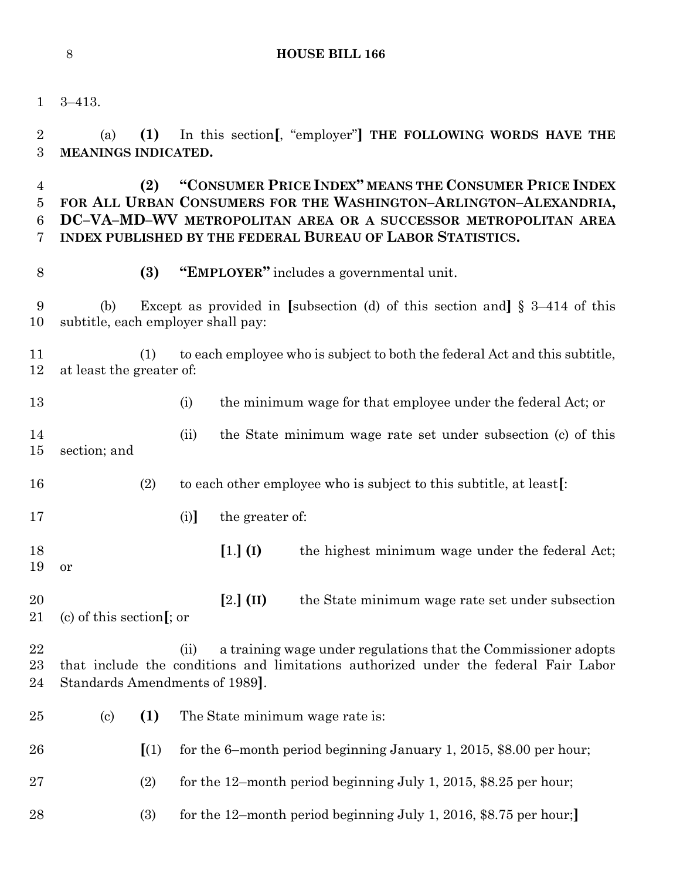3–413.

 (a) **(1)** In this section**[**, "employer"**] THE FOLLOWING WORDS HAVE THE MEANINGS INDICATED.**

 **(2) "CONSUMER PRICE INDEX" MEANS THE CONSUMER PRICE INDEX FOR ALL URBAN CONSUMERS FOR THE WASHINGTON–ARLINGTON–ALEXANDRIA, DC–VA–MD–WV METROPOLITAN AREA OR A SUCCESSOR METROPOLITAN AREA INDEX PUBLISHED BY THE FEDERAL BUREAU OF LABOR STATISTICS.**

**(3) "EMPLOYER"** includes a governmental unit.

 (b) Except as provided in **[**subsection (d) of this section and**]** § 3–414 of this subtitle, each employer shall pay:

 (1) to each employee who is subject to both the federal Act and this subtitle, at least the greater of:

13 (i) the minimum wage for that employee under the federal Act; or (ii) the State minimum wage rate set under subsection (c) of this section; and

- (2) to each other employee who is subject to this subtitle, at least**[**:
- (i)**]** the greater of:
- **[**1.**] (I)** the highest minimum wage under the federal Act; or

 **[**2.**] (II)** the State minimum wage rate set under subsection (c) of this section**[**; or

 (ii) a training wage under regulations that the Commissioner adopts that include the conditions and limitations authorized under the federal Fair Labor Standards Amendments of 1989**]**.

 (c) **(1)** The State minimum wage rate is: **[**(1) for the 6–month period beginning January 1, 2015, \$8.00 per hour; (2) for the 12–month period beginning July 1, 2015, \$8.25 per hour; (3) for the 12–month period beginning July 1, 2016, \$8.75 per hour;**]**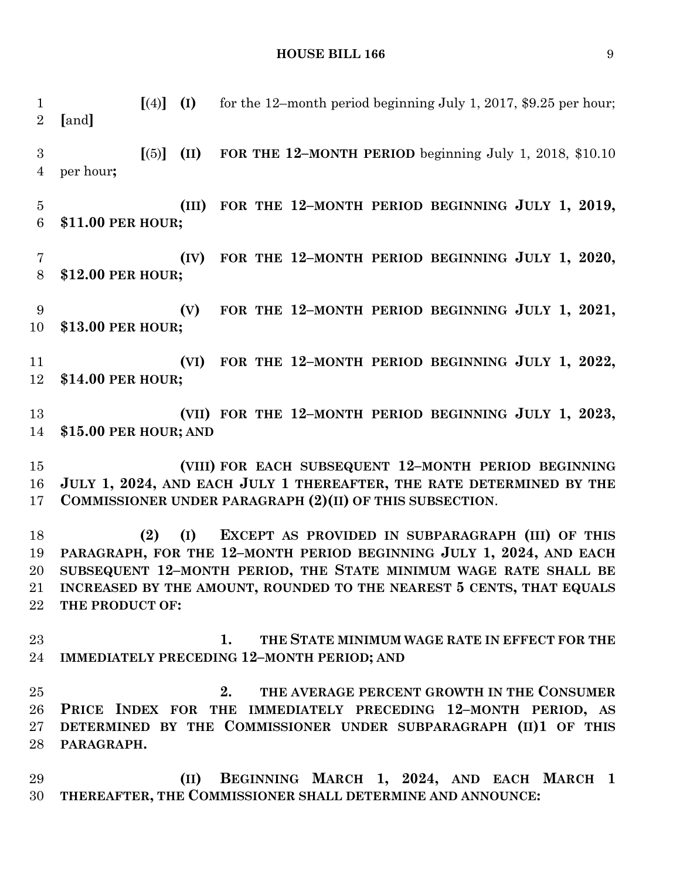**[**(4)**] (I)** for the 12–month period beginning July 1, 2017, \$9.25 per hour; **[**and**] [**(5)**] (II) FOR THE 12–MONTH PERIOD** beginning July 1, 2018, \$10.10 per hour**; (III) FOR THE 12–MONTH PERIOD BEGINNING JULY 1, 2019, \$11.00 PER HOUR; (IV) FOR THE 12–MONTH PERIOD BEGINNING JULY 1, 2020, \$12.00 PER HOUR; (V) FOR THE 12–MONTH PERIOD BEGINNING JULY 1, 2021, \$13.00 PER HOUR; (VI) FOR THE 12–MONTH PERIOD BEGINNING JULY 1, 2022, \$14.00 PER HOUR; (VII) FOR THE 12–MONTH PERIOD BEGINNING JULY 1, 2023, \$15.00 PER HOUR; AND (VIII) FOR EACH SUBSEQUENT 12–MONTH PERIOD BEGINNING JULY 1, 2024, AND EACH JULY 1 THEREAFTER, THE RATE DETERMINED BY THE COMMISSIONER UNDER PARAGRAPH (2)(II) OF THIS SUBSECTION**. **(2) (I) EXCEPT AS PROVIDED IN SUBPARAGRAPH (III) OF THIS PARAGRAPH, FOR THE 12–MONTH PERIOD BEGINNING JULY 1, 2024, AND EACH SUBSEQUENT 12–MONTH PERIOD, THE STATE MINIMUM WAGE RATE SHALL BE INCREASED BY THE AMOUNT, ROUNDED TO THE NEAREST 5 CENTS, THAT EQUALS THE PRODUCT OF: 1. THE STATE MINIMUM WAGE RATE IN EFFECT FOR THE IMMEDIATELY PRECEDING 12–MONTH PERIOD; AND 2. THE AVERAGE PERCENT GROWTH IN THE CONSUMER PRICE INDEX FOR THE IMMEDIATELY PRECEDING 12–MONTH PERIOD, AS DETERMINED BY THE COMMISSIONER UNDER SUBPARAGRAPH (II)1 OF THIS PARAGRAPH. (II) BEGINNING MARCH 1, 2024, AND EACH MARCH 1 THEREAFTER, THE COMMISSIONER SHALL DETERMINE AND ANNOUNCE:**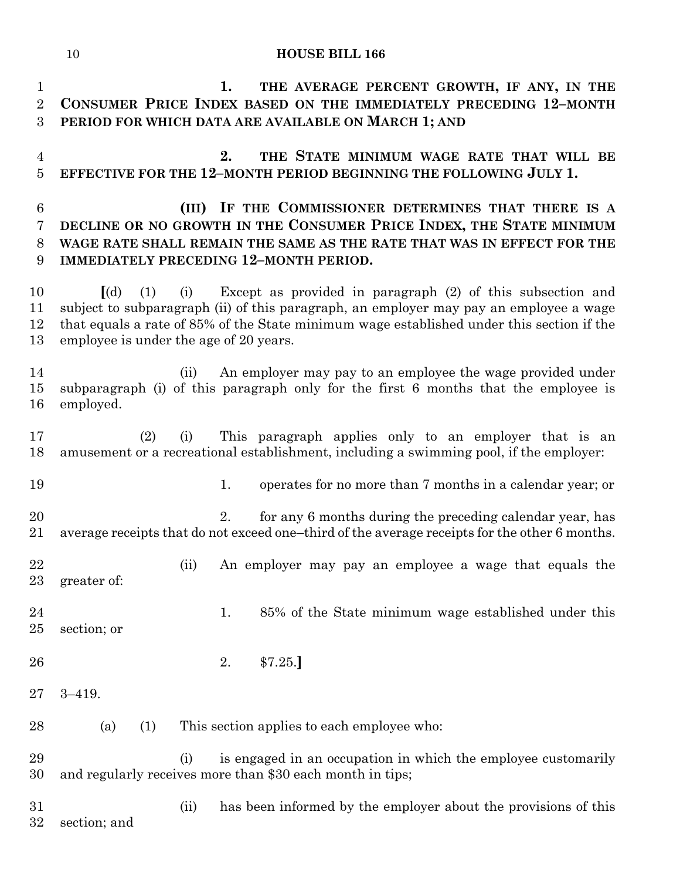**1. THE AVERAGE PERCENT GROWTH, IF ANY, IN THE CONSUMER PRICE INDEX BASED ON THE IMMEDIATELY PRECEDING 12–MONTH PERIOD FOR WHICH DATA ARE AVAILABLE ON MARCH 1; AND 2. THE STATE MINIMUM WAGE RATE THAT WILL BE EFFECTIVE FOR THE 12–MONTH PERIOD BEGINNING THE FOLLOWING JULY 1. (III) IF THE COMMISSIONER DETERMINES THAT THERE IS A DECLINE OR NO GROWTH IN THE CONSUMER PRICE INDEX, THE STATE MINIMUM WAGE RATE SHALL REMAIN THE SAME AS THE RATE THAT WAS IN EFFECT FOR THE IMMEDIATELY PRECEDING 12–MONTH PERIOD. [**(d) (1) (i) Except as provided in paragraph (2) of this subsection and subject to subparagraph (ii) of this paragraph, an employer may pay an employee a wage that equals a rate of 85% of the State minimum wage established under this section if the employee is under the age of 20 years. (ii) An employer may pay to an employee the wage provided under subparagraph (i) of this paragraph only for the first 6 months that the employee is employed. (2) (i) This paragraph applies only to an employer that is an amusement or a recreational establishment, including a swimming pool, if the employer: 19 1. operates for no more than 7 months in a calendar year; or 20 2. for any 6 months during the preceding calendar year, has average receipts that do not exceed one–third of the average receipts for the other 6 months. (ii) An employer may pay an employee a wage that equals the greater of: 24 1. 85% of the State minimum wage established under this section; or 2. \$7.25.**]** 3–419. (a) (1) This section applies to each employee who: (i) is engaged in an occupation in which the employee customarily and regularly receives more than \$30 each month in tips; (ii) has been informed by the employer about the provisions of this section; and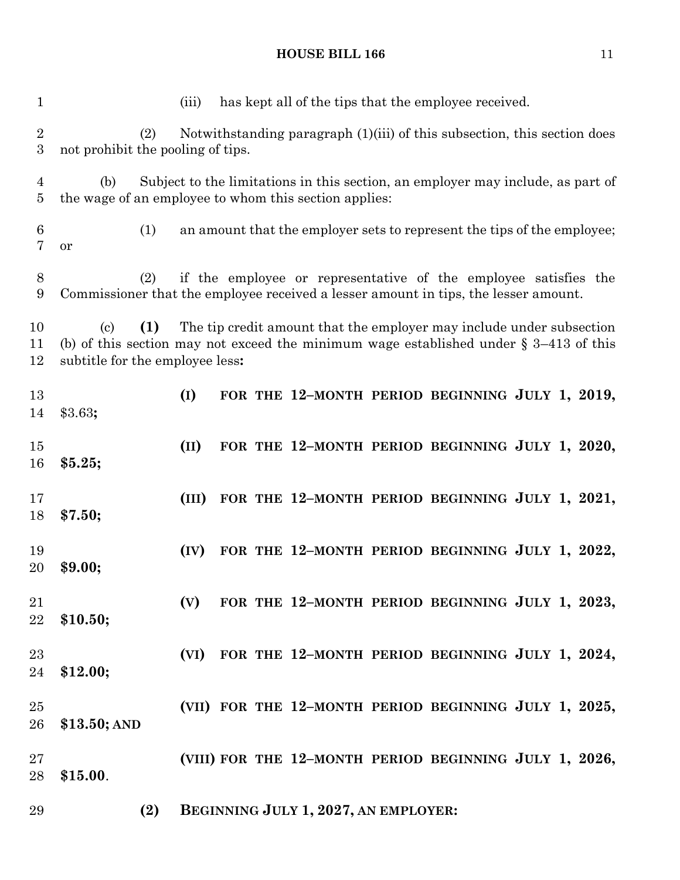| $\mathbf{1}$                       |                                                                                                                                                                 | (iii) |  |                                      | has kept all of the tips that the employee received.                            |  |
|------------------------------------|-----------------------------------------------------------------------------------------------------------------------------------------------------------------|-------|--|--------------------------------------|---------------------------------------------------------------------------------|--|
| $\overline{2}$<br>$\boldsymbol{3}$ | (2)<br>not prohibit the pooling of tips.                                                                                                                        |       |  |                                      | Notwithstanding paragraph $(1)(iii)$ of this subsection, this section does      |  |
| $\overline{4}$<br>5                | (b)<br>the wage of an employee to whom this section applies:                                                                                                    |       |  |                                      | Subject to the limitations in this section, an employer may include, as part of |  |
| $6\phantom{.}6$<br>7               | (1)<br>or                                                                                                                                                       |       |  |                                      | an amount that the employer sets to represent the tips of the employee;         |  |
| $8\phantom{1}$<br>9                | (2)<br>Commissioner that the employee received a lesser amount in tips, the lesser amount.                                                                      |       |  |                                      | if the employee or representative of the employee satisfies the                 |  |
| 10<br>11<br>12                     | (1)<br>$\left( \text{c} \right)$<br>(b) of this section may not exceed the minimum wage established under $\S$ 3–413 of this<br>subtitle for the employee less: |       |  |                                      | The tip credit amount that the employer may include under subsection            |  |
| 13<br>14                           | \$3.63;                                                                                                                                                         | (I)   |  |                                      | FOR THE 12-MONTH PERIOD BEGINNING JULY 1, 2019,                                 |  |
| 15<br>16                           | \$5.25;                                                                                                                                                         | (II)  |  |                                      | FOR THE 12-MONTH PERIOD BEGINNING JULY 1, 2020,                                 |  |
| 17<br>18                           | \$7.50;                                                                                                                                                         | (III) |  |                                      | FOR THE 12-MONTH PERIOD BEGINNING JULY 1, 2021,                                 |  |
| 19<br>20                           | \$9.00;                                                                                                                                                         | (IV)  |  |                                      | FOR THE 12-MONTH PERIOD BEGINNING JULY 1, 2022,                                 |  |
| 21<br>22                           | \$10.50;                                                                                                                                                        | (V)   |  |                                      | FOR THE 12-MONTH PERIOD BEGINNING JULY 1, 2023,                                 |  |
| 23<br>24                           | \$12.00;                                                                                                                                                        |       |  |                                      | (VI) FOR THE 12-MONTH PERIOD BEGINNING JULY 1, 2024,                            |  |
| 25<br>26                           | $$13.50;$ AND                                                                                                                                                   |       |  |                                      | (VII) FOR THE 12-MONTH PERIOD BEGINNING JULY 1, 2025,                           |  |
| $27\,$<br>28                       | \$15.00.                                                                                                                                                        |       |  |                                      | (VIII) FOR THE 12-MONTH PERIOD BEGINNING JULY 1, 2026,                          |  |
| 29                                 | (2)                                                                                                                                                             |       |  | BEGINNING JULY 1, 2027, AN EMPLOYER: |                                                                                 |  |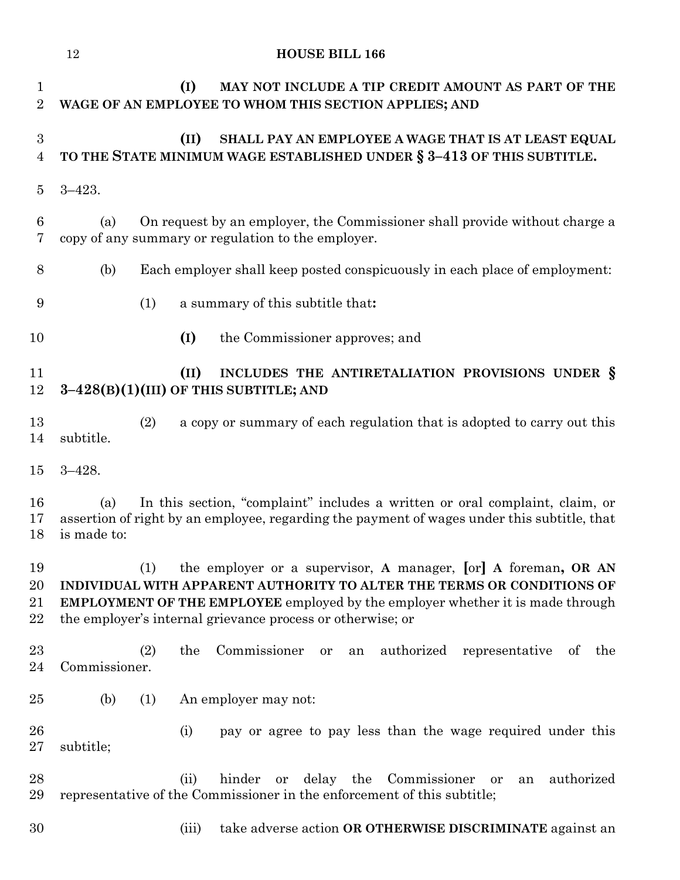|                                    | 12                   | <b>HOUSE BILL 166</b>                                                                                                                                                                                                                                                                           |
|------------------------------------|----------------------|-------------------------------------------------------------------------------------------------------------------------------------------------------------------------------------------------------------------------------------------------------------------------------------------------|
| $\mathbf{1}$<br>$\overline{2}$     |                      | (I)<br>MAY NOT INCLUDE A TIP CREDIT AMOUNT AS PART OF THE<br>WAGE OF AN EMPLOYEE TO WHOM THIS SECTION APPLIES; AND                                                                                                                                                                              |
| $\boldsymbol{3}$<br>$\overline{4}$ |                      | (II)<br>SHALL PAY AN EMPLOYEE A WAGE THAT IS AT LEAST EQUAL<br>TO THE STATE MINIMUM WAGE ESTABLISHED UNDER § 3-413 OF THIS SUBTITLE.                                                                                                                                                            |
| $\overline{5}$                     | $3 - 423.$           |                                                                                                                                                                                                                                                                                                 |
| $\boldsymbol{6}$<br>7              | (a)                  | On request by an employer, the Commissioner shall provide without charge a<br>copy of any summary or regulation to the employer.                                                                                                                                                                |
| 8                                  | (b)                  | Each employer shall keep posted conspicuously in each place of employment:                                                                                                                                                                                                                      |
| 9                                  | (1)                  | a summary of this subtitle that:                                                                                                                                                                                                                                                                |
| 10                                 |                      | (I)<br>the Commissioner approves; and                                                                                                                                                                                                                                                           |
| 11<br>12                           |                      | (II)<br>INCLUDES THE ANTIRETALIATION PROVISIONS UNDER §<br>$3-428(B)(1)(III)$ OF THIS SUBTITLE; AND                                                                                                                                                                                             |
| 13<br>14                           | (2)<br>subtitle.     | a copy or summary of each regulation that is adopted to carry out this                                                                                                                                                                                                                          |
| 15                                 | $3 - 428.$           |                                                                                                                                                                                                                                                                                                 |
| 16<br>17<br>18                     | (a)<br>is made to:   | In this section, "complaint" includes a written or oral complaint, claim, or<br>assertion of right by an employee, regarding the payment of wages under this subtitle, that                                                                                                                     |
| 19<br>20<br>21<br>22               | (1)                  | the employer or a supervisor, A manager, [or] A foreman, OR AN<br>INDIVIDUAL WITH APPARENT AUTHORITY TO ALTER THE TERMS OR CONDITIONS OF<br><b>EMPLOYMENT OF THE EMPLOYEE</b> employed by the employer whether it is made through<br>the employer's internal grievance process or otherwise; or |
| 23<br>24                           | (2)<br>Commissioner. | Commissioner<br>authorized<br>the<br>representative<br>of<br>the<br>an<br>or                                                                                                                                                                                                                    |
| 25                                 | (b)<br>(1)           | An employer may not:                                                                                                                                                                                                                                                                            |
| 26<br>27                           | subtitle;            | (i)<br>pay or agree to pay less than the wage required under this                                                                                                                                                                                                                               |
| 28<br>29                           |                      | hinder<br>delay the Commissioner or<br>authorized<br>(ii)<br>or<br>an<br>representative of the Commissioner in the enforcement of this subtitle;                                                                                                                                                |
| 30                                 |                      | take adverse action OR OTHERWISE DISCRIMINATE against an<br>(iii)                                                                                                                                                                                                                               |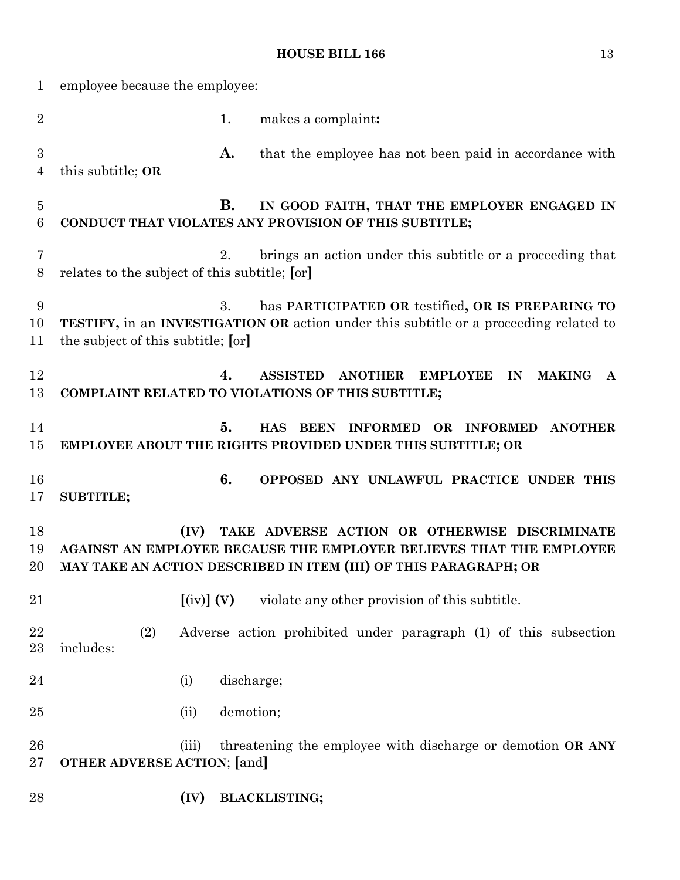| $\mathbf 1$           | employee because the employee:                |                                |            |                                                                                                                                                                                          |  |  |
|-----------------------|-----------------------------------------------|--------------------------------|------------|------------------------------------------------------------------------------------------------------------------------------------------------------------------------------------------|--|--|
| $\overline{2}$        |                                               |                                | 1.         | makes a complaint:                                                                                                                                                                       |  |  |
| $\boldsymbol{3}$<br>4 | this subtitle; OR                             |                                | A.         | that the employee has not been paid in accordance with                                                                                                                                   |  |  |
| $\overline{5}$<br>6   |                                               |                                | В.         | IN GOOD FAITH, THAT THE EMPLOYER ENGAGED IN<br>CONDUCT THAT VIOLATES ANY PROVISION OF THIS SUBTITLE;                                                                                     |  |  |
| 7<br>8                | relates to the subject of this subtitle; [or] |                                | 2.         | brings an action under this subtitle or a proceeding that                                                                                                                                |  |  |
| 9<br>10<br>11         | the subject of this subtitle; [or]            |                                | 3.         | has PARTICIPATED OR testified, OR IS PREPARING TO<br>TESTIFY, in an INVESTIGATION OR action under this subtitle or a proceeding related to                                               |  |  |
| 12<br>13              |                                               |                                | 4.         | <b>ASSISTED</b><br><b>ANOTHER</b><br><b>EMPLOYEE</b><br><b>MAKING</b><br>IN<br>$\mathbf{A}$<br>COMPLAINT RELATED TO VIOLATIONS OF THIS SUBTITLE;                                         |  |  |
| 14<br>15              |                                               |                                | 5.         | <b>HAS</b><br>BEEN INFORMED OR<br><b>INFORMED</b><br><b>ANOTHER</b><br>EMPLOYEE ABOUT THE RIGHTS PROVIDED UNDER THIS SUBTITLE; OR                                                        |  |  |
| 16<br>17              | <b>SUBTITLE;</b>                              |                                | 6.         | OPPOSED ANY UNLAWFUL PRACTICE UNDER THIS                                                                                                                                                 |  |  |
| 18<br>19<br>20        |                                               | (IV)                           |            | TAKE ADVERSE ACTION OR OTHERWISE DISCRIMINATE<br>AGAINST AN EMPLOYEE BECAUSE THE EMPLOYER BELIEVES THAT THE EMPLOYEE<br>MAY TAKE AN ACTION DESCRIBED IN ITEM (III) OF THIS PARAGRAPH; OR |  |  |
| 21                    |                                               | $\left[\text{(iv)}\right]$ (V) |            | violate any other provision of this subtitle.                                                                                                                                            |  |  |
| 22<br>23              | (2)<br>includes:                              |                                |            | Adverse action prohibited under paragraph (1) of this subsection                                                                                                                         |  |  |
| 24                    |                                               | (i)                            | discharge; |                                                                                                                                                                                          |  |  |
| 25                    |                                               | (ii)                           | demotion;  |                                                                                                                                                                                          |  |  |
| 26<br>27              | <b>OTHER ADVERSE ACTION;</b> [and]            | (iii)                          |            | threatening the employee with discharge or demotion OR ANY                                                                                                                               |  |  |
| 28                    |                                               | (IV)                           |            | <b>BLACKLISTING;</b>                                                                                                                                                                     |  |  |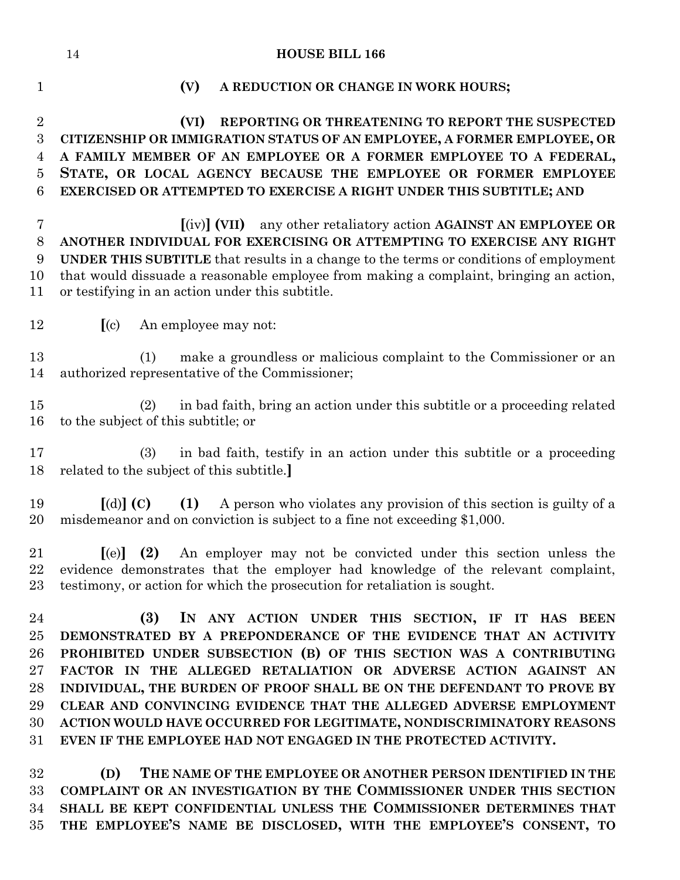# **(V) A REDUCTION OR CHANGE IN WORK HOURS; (VI) REPORTING OR THREATENING TO REPORT THE SUSPECTED CITIZENSHIP OR IMMIGRATION STATUS OF AN EMPLOYEE, A FORMER EMPLOYEE, OR A FAMILY MEMBER OF AN EMPLOYEE OR A FORMER EMPLOYEE TO A FEDERAL, STATE, OR LOCAL AGENCY BECAUSE THE EMPLOYEE OR FORMER EMPLOYEE EXERCISED OR ATTEMPTED TO EXERCISE A RIGHT UNDER THIS SUBTITLE; AND [**(iv)**] (VII)** any other retaliatory action **AGAINST AN EMPLOYEE OR ANOTHER INDIVIDUAL FOR EXERCISING OR ATTEMPTING TO EXERCISE ANY RIGHT UNDER THIS SUBTITLE** that results in a change to the terms or conditions of employment that would dissuade a reasonable employee from making a complaint, bringing an action, or testifying in an action under this subtitle. **[**(c) An employee may not: (1) make a groundless or malicious complaint to the Commissioner or an authorized representative of the Commissioner; (2) in bad faith, bring an action under this subtitle or a proceeding related to the subject of this subtitle; or (3) in bad faith, testify in an action under this subtitle or a proceeding related to the subject of this subtitle.**] [**(d)**] (C) (1)** A person who violates any provision of this section is guilty of a misdemeanor and on conviction is subject to a fine not exceeding \$1,000. **[**(e)**] (2)** An employer may not be convicted under this section unless the evidence demonstrates that the employer had knowledge of the relevant complaint, testimony, or action for which the prosecution for retaliation is sought. **(3) IN ANY ACTION UNDER THIS SECTION, IF IT HAS BEEN DEMONSTRATED BY A PREPONDERANCE OF THE EVIDENCE THAT AN ACTIVITY PROHIBITED UNDER SUBSECTION (B) OF THIS SECTION WAS A CONTRIBUTING FACTOR IN THE ALLEGED RETALIATION OR ADVERSE ACTION AGAINST AN INDIVIDUAL, THE BURDEN OF PROOF SHALL BE ON THE DEFENDANT TO PROVE BY CLEAR AND CONVINCING EVIDENCE THAT THE ALLEGED ADVERSE EMPLOYMENT ACTION WOULD HAVE OCCURRED FOR LEGITIMATE, NONDISCRIMINATORY REASONS EVEN IF THE EMPLOYEE HAD NOT ENGAGED IN THE PROTECTED ACTIVITY. (D) THE NAME OF THE EMPLOYEE OR ANOTHER PERSON IDENTIFIED IN THE COMPLAINT OR AN INVESTIGATION BY THE COMMISSIONER UNDER THIS SECTION SHALL BE KEPT CONFIDENTIAL UNLESS THE COMMISSIONER DETERMINES THAT**

**THE EMPLOYEE'S NAME BE DISCLOSED, WITH THE EMPLOYEE'S CONSENT, TO**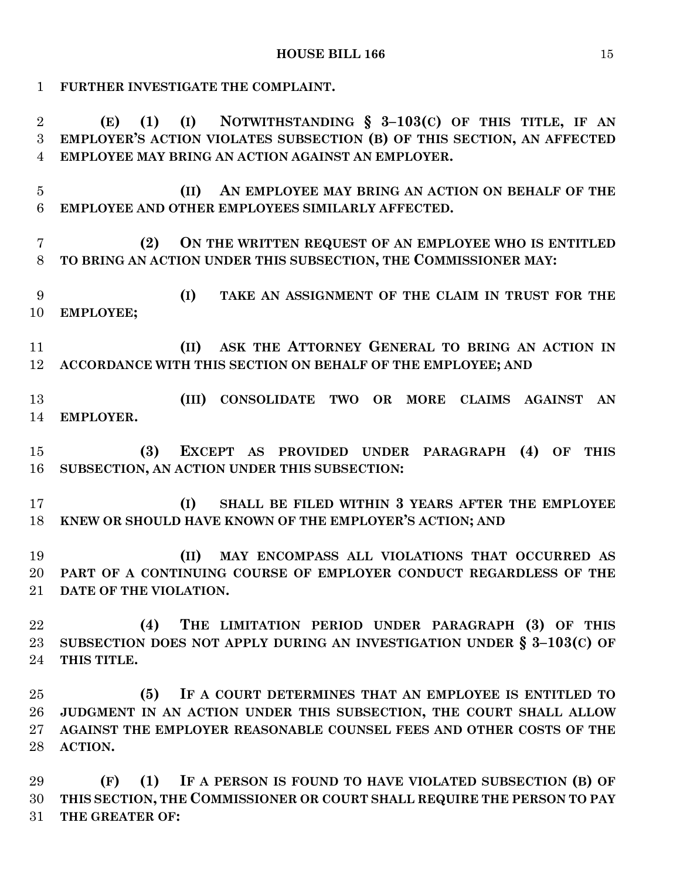**FURTHER INVESTIGATE THE COMPLAINT.**

 **(E) (1) (I) NOTWITHSTANDING § 3–103(C) OF THIS TITLE, IF AN EMPLOYER'S ACTION VIOLATES SUBSECTION (B) OF THIS SECTION, AN AFFECTED EMPLOYEE MAY BRING AN ACTION AGAINST AN EMPLOYER.**

 **(II) AN EMPLOYEE MAY BRING AN ACTION ON BEHALF OF THE EMPLOYEE AND OTHER EMPLOYEES SIMILARLY AFFECTED.**

 **(2) ON THE WRITTEN REQUEST OF AN EMPLOYEE WHO IS ENTITLED TO BRING AN ACTION UNDER THIS SUBSECTION, THE COMMISSIONER MAY:**

 **(I) TAKE AN ASSIGNMENT OF THE CLAIM IN TRUST FOR THE EMPLOYEE;**

 **(II) ASK THE ATTORNEY GENERAL TO BRING AN ACTION IN ACCORDANCE WITH THIS SECTION ON BEHALF OF THE EMPLOYEE; AND**

 **(III) CONSOLIDATE TWO OR MORE CLAIMS AGAINST AN EMPLOYER.**

 **(3) EXCEPT AS PROVIDED UNDER PARAGRAPH (4) OF THIS SUBSECTION, AN ACTION UNDER THIS SUBSECTION:**

 **(I) SHALL BE FILED WITHIN 3 YEARS AFTER THE EMPLOYEE KNEW OR SHOULD HAVE KNOWN OF THE EMPLOYER'S ACTION; AND**

 **(II) MAY ENCOMPASS ALL VIOLATIONS THAT OCCURRED AS PART OF A CONTINUING COURSE OF EMPLOYER CONDUCT REGARDLESS OF THE DATE OF THE VIOLATION.**

 **(4) THE LIMITATION PERIOD UNDER PARAGRAPH (3) OF THIS SUBSECTION DOES NOT APPLY DURING AN INVESTIGATION UNDER § 3–103(C) OF THIS TITLE.**

 **(5) IF A COURT DETERMINES THAT AN EMPLOYEE IS ENTITLED TO JUDGMENT IN AN ACTION UNDER THIS SUBSECTION, THE COURT SHALL ALLOW AGAINST THE EMPLOYER REASONABLE COUNSEL FEES AND OTHER COSTS OF THE ACTION.**

 **(F) (1) IF A PERSON IS FOUND TO HAVE VIOLATED SUBSECTION (B) OF THIS SECTION, THE COMMISSIONER OR COURT SHALL REQUIRE THE PERSON TO PAY THE GREATER OF:**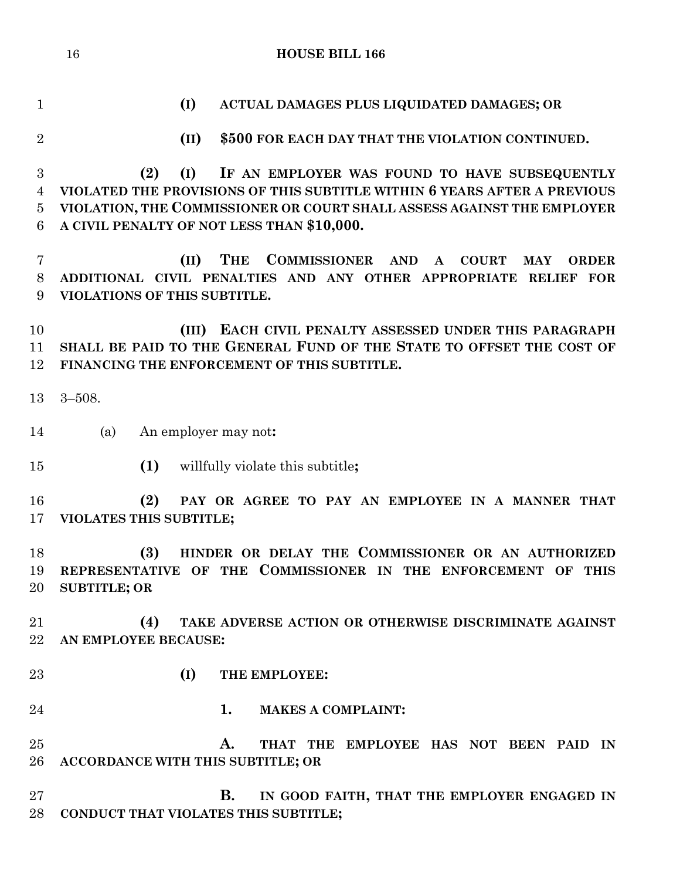**(I) ACTUAL DAMAGES PLUS LIQUIDATED DAMAGES; OR (II) \$500 FOR EACH DAY THAT THE VIOLATION CONTINUED. (2) (I) IF AN EMPLOYER WAS FOUND TO HAVE SUBSEQUENTLY VIOLATED THE PROVISIONS OF THIS SUBTITLE WITHIN 6 YEARS AFTER A PREVIOUS VIOLATION, THE COMMISSIONER OR COURT SHALL ASSESS AGAINST THE EMPLOYER A CIVIL PENALTY OF NOT LESS THAN \$10,000. (II) THE COMMISSIONER AND A COURT MAY ORDER ADDITIONAL CIVIL PENALTIES AND ANY OTHER APPROPRIATE RELIEF FOR VIOLATIONS OF THIS SUBTITLE. (III) EACH CIVIL PENALTY ASSESSED UNDER THIS PARAGRAPH SHALL BE PAID TO THE GENERAL FUND OF THE STATE TO OFFSET THE COST OF FINANCING THE ENFORCEMENT OF THIS SUBTITLE.** 3–508. (a) An employer may not**: (1)** willfully violate this subtitle**; (2) PAY OR AGREE TO PAY AN EMPLOYEE IN A MANNER THAT VIOLATES THIS SUBTITLE; (3) HINDER OR DELAY THE COMMISSIONER OR AN AUTHORIZED REPRESENTATIVE OF THE COMMISSIONER IN THE ENFORCEMENT OF THIS SUBTITLE; OR (4) TAKE ADVERSE ACTION OR OTHERWISE DISCRIMINATE AGAINST AN EMPLOYEE BECAUSE: (I) THE EMPLOYEE: 1. MAKES A COMPLAINT: A. THAT THE EMPLOYEE HAS NOT BEEN PAID IN ACCORDANCE WITH THIS SUBTITLE; OR B. IN GOOD FAITH, THAT THE EMPLOYER ENGAGED IN CONDUCT THAT VIOLATES THIS SUBTITLE;**

**HOUSE BILL 166**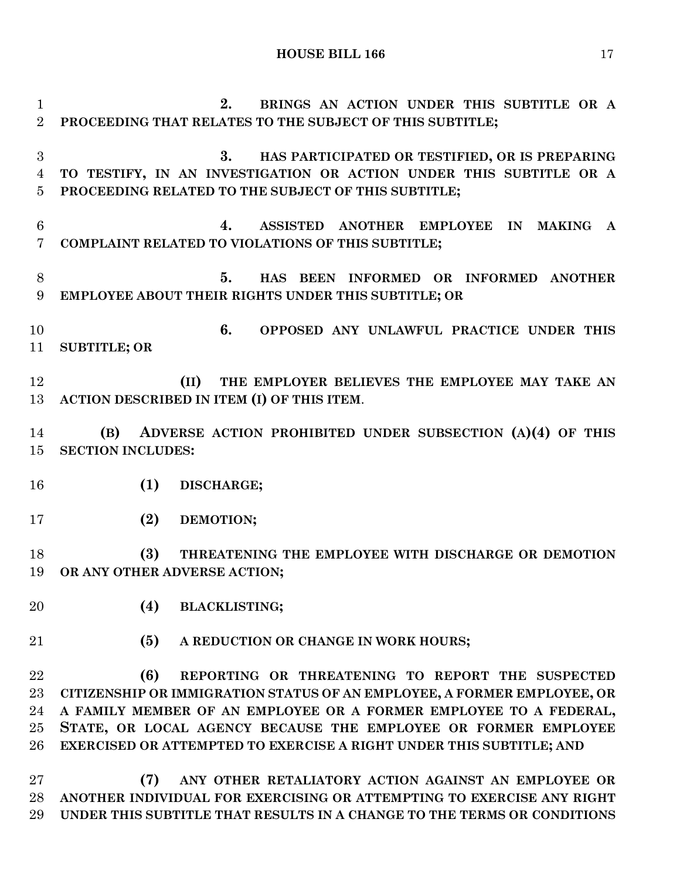**2. BRINGS AN ACTION UNDER THIS SUBTITLE OR A PROCEEDING THAT RELATES TO THE SUBJECT OF THIS SUBTITLE; 3. HAS PARTICIPATED OR TESTIFIED, OR IS PREPARING TO TESTIFY, IN AN INVESTIGATION OR ACTION UNDER THIS SUBTITLE OR A PROCEEDING RELATED TO THE SUBJECT OF THIS SUBTITLE; 4. ASSISTED ANOTHER EMPLOYEE IN MAKING A COMPLAINT RELATED TO VIOLATIONS OF THIS SUBTITLE; 5. HAS BEEN INFORMED OR INFORMED ANOTHER EMPLOYEE ABOUT THEIR RIGHTS UNDER THIS SUBTITLE; OR 6. OPPOSED ANY UNLAWFUL PRACTICE UNDER THIS SUBTITLE; OR (II) THE EMPLOYER BELIEVES THE EMPLOYEE MAY TAKE AN ACTION DESCRIBED IN ITEM (I) OF THIS ITEM**. **(B) ADVERSE ACTION PROHIBITED UNDER SUBSECTION (A)(4) OF THIS SECTION INCLUDES: (1) DISCHARGE; (2) DEMOTION; (3) THREATENING THE EMPLOYEE WITH DISCHARGE OR DEMOTION OR ANY OTHER ADVERSE ACTION; (4) BLACKLISTING; (5) A REDUCTION OR CHANGE IN WORK HOURS; (6) REPORTING OR THREATENING TO REPORT THE SUSPECTED CITIZENSHIP OR IMMIGRATION STATUS OF AN EMPLOYEE, A FORMER EMPLOYEE, OR A FAMILY MEMBER OF AN EMPLOYEE OR A FORMER EMPLOYEE TO A FEDERAL, STATE, OR LOCAL AGENCY BECAUSE THE EMPLOYEE OR FORMER EMPLOYEE EXERCISED OR ATTEMPTED TO EXERCISE A RIGHT UNDER THIS SUBTITLE; AND (7) ANY OTHER RETALIATORY ACTION AGAINST AN EMPLOYEE OR ANOTHER INDIVIDUAL FOR EXERCISING OR ATTEMPTING TO EXERCISE ANY RIGHT UNDER THIS SUBTITLE THAT RESULTS IN A CHANGE TO THE TERMS OR CONDITIONS**